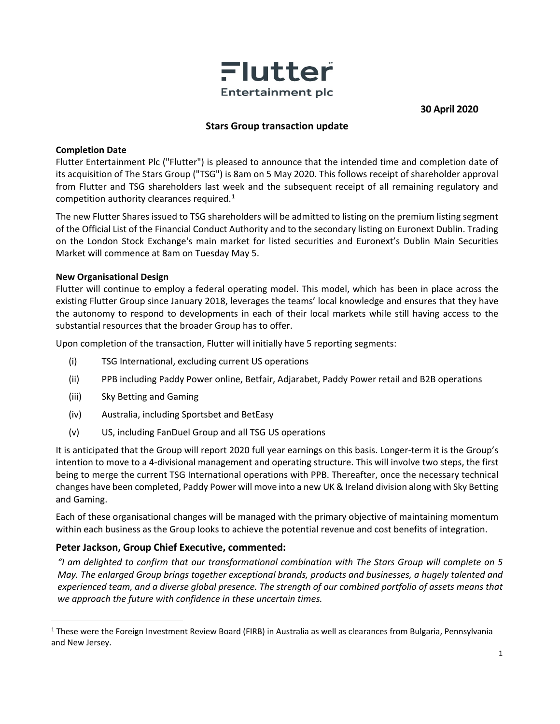

**30 April 2020**

# **Stars Group transaction update**

### **Completion Date**

Flutter Entertainment Plc ("Flutter") is pleased to announce that the intended time and completion date of its acquisition of The Stars Group ("TSG") is 8am on 5 May 2020. This follows receipt of shareholder approval from Flutter and TSG shareholders last week and the subsequent receipt of all remaining regulatory and competition authority clearances required. [1](#page-0-0)

The new Flutter Shares issued to TSG shareholders will be admitted to listing on the premium listing segment of the Official List of the Financial Conduct Authority and to the secondary listing on Euronext Dublin. Trading on the London Stock Exchange's main market for listed securities and Euronext's Dublin Main Securities Market will commence at 8am on Tuesday May 5.

### **New Organisational Design**

Flutter will continue to employ a federal operating model. This model, which has been in place across the existing Flutter Group since January 2018, leverages the teams' local knowledge and ensures that they have the autonomy to respond to developments in each of their local markets while still having access to the substantial resources that the broader Group has to offer.

Upon completion of the transaction, Flutter will initially have 5 reporting segments:

- (i) TSG International, excluding current US operations
- (ii) PPB including Paddy Power online, Betfair, Adjarabet, Paddy Power retail and B2B operations
- (iii) Sky Betting and Gaming
- (iv) Australia, including Sportsbet and BetEasy
- (v) US, including FanDuel Group and all TSG US operations

It is anticipated that the Group will report 2020 full year earnings on this basis. Longer-term it is the Group's intention to move to a 4-divisional management and operating structure. This will involve two steps, the first being to merge the current TSG International operations with PPB. Thereafter, once the necessary technical changes have been completed, Paddy Power will move into a new UK & Ireland division along with Sky Betting and Gaming.

Each of these organisational changes will be managed with the primary objective of maintaining momentum within each business as the Group looks to achieve the potential revenue and cost benefits of integration.

## **Peter Jackson, Group Chief Executive, commented:**

*"I am delighted to confirm that our transformational combination with The Stars Group will complete on 5 May. The enlarged Group brings together exceptional brands, products and businesses, a hugely talented and experienced team, and a diverse global presence. The strength of our combined portfolio of assets means that we approach the future with confidence in these uncertain times.* 

<span id="page-0-0"></span><sup>&</sup>lt;sup>1</sup> These were the Foreign Investment Review Board (FIRB) in Australia as well as clearances from Bulgaria, Pennsylvania and New Jersey.